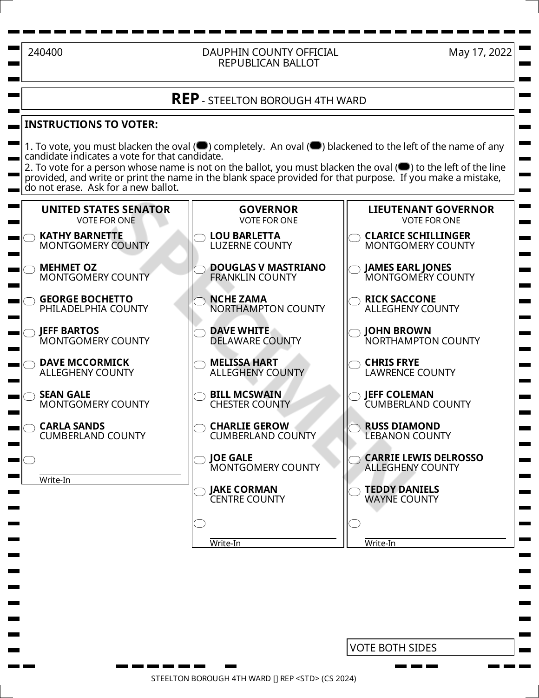## 240400 DAUPHIN COUNTY OFFICIAL REPUBLICAN BALLOT

May 17, 2022

## **REP**- STEELTON BOROUGH 4TH WARD

## **INSTRUCTIONS TO VOTER:**

1. To vote, you must blacken the oval (**iii**) completely. An oval (**iii**) blackened to the left of the name of any candidate indicates a vote for that candidate.

2. To vote for a person whose name is not on the ballot, you must blacken the oval  $($ **)** to the left of the line provided, and write or print the name in the blank space provided for that purpose. If you make a mistake, do not erase. Ask for a new ballot.